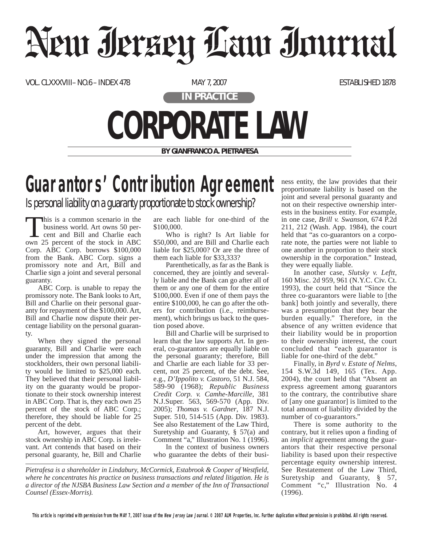## Neur Jerzey Law Journal

VOL. CLXXXVIII– NO.6 – INDEX 478 MAY 7, 2007 MAY 7, 2007

**IN PRACTICE**

## **CORPORATE LAW**

**BY GIANFRANCO A. PIETRAFESA**

## **Guarantors' Contribution Agreement**

Is personal liability on a guaranty proportionate to stock ownership?

This is a common scenario in the business world. Art owns 50 percent and Bill and Charlie each own 25 percent of the stock in ABC Corp. ABC Corp. borrows \$100,000 from the Bank. ABC Corp. signs a promissory note and Art, Bill and Charlie sign a joint and several personal guaranty.

ABC Corp. is unable to repay the promissory note. The Bank looks to Art, Bill and Charlie on their personal guaranty for repayment of the \$100,000. Art, Bill and Charlie now dispute their percentage liability on the personal guaranty.

When they signed the personal guaranty, Bill and Charlie were each under the impression that among the stockholders, their own personal liability would be limited to \$25,000 each. They believed that their personal liability on the guaranty would be proportionate to their stock ownership interest in ABC Corp. That is, they each own 25 percent of the stock of ABC Corp.; therefore, they should be liable for 25 percent of the debt.

Art, however, argues that their stock ownership in ABC Corp. is irrelevant. Art contends that based on their personal guaranty, he, Bill and Charlie are each liable for one-third of the \$100,000.

Who is right? Is Art liable for \$50,000, and are Bill and Charlie each liable for \$25,000? Or are the three of them each liable for \$33,333?

Parenthetically, as far as the Bank is concerned, they are jointly and severally liable and the Bank can go after all of them or any one of them for the entire \$100,000. Even if one of them pays the entire \$100,000, he can go after the others for contribution (i.e., reimbursement), which brings us back to the question posed above.

Bill and Charlie will be surprised to learn that the law supports Art. In general, co-guarantors are equally liable on the personal guaranty; therefore, Bill and Charlie are each liable for 33 percent, not 25 percent, of the debt. See, e.g., *D'Ippolito v. Castoro*, 51 N.J. 584, 589-90 (1968); *Republic Business Credit Corp. v. Camhe-Marcille*, 381 N.J.Super. 563, 569-570 (App. Div. 2005); *Thomas v. Gardner*, 187 N.J. Super. 510, 514-515 (App. Div. 1983). See also Restatement of the Law Third, Suretyship and Guaranty, § 57(a) and Comment "a," Illustration No. 1 (1996).

In the context of business owners who guarantee the debts of their business entity, the law provides that their proportionate liability is based on the joint and several personal guaranty and not on their respective ownership interests in the business entity. For example, in one case, *Brill v. Swanson*, 674 P.2d 211, 212 (Wash. App. 1984), the court held that "as co-guarantors on a corporate note, the parties were not liable to one another in proportion to their stock ownership in the corporation." Instead, they were equally liable.

In another case, *Slutsky v. Leftt*, 160 Misc. 2d 959, 961 (N.Y.C. Civ. Ct. 1993), the court held that "Since the three co-guarantors were liable to [the bank] both jointly and severally, there was a presumption that they bear the burden equally." Therefore, in the absence of any written evidence that their liability would be in proportion to their ownership interest, the court concluded that "each guarantor is liable for one-third of the debt."

Finally, in *Byrd v. Estate of Nelms*, 154 S.W.3d 149, 165 (Tex. App. 2004), the court held that "Absent an express agreement among guarantors to the contrary, the contributive share of [any one guarantor] is limited to the total amount of liability divided by the number of co-guarantors."

There is some authority to the contrary, but it relies upon a finding of an *implicit* agreement among the guarantors that their respective personal liability is based upon their respective percentage equity ownership interest. See Restatement of the Law Third, Suretyship and Guaranty, § 57, Comment "c," Illustration No. 4 (1996).

*Pietrafesa is a shareholder in Lindabury, McCormick, Estabrook & Cooper of Westfield, where he concentrates his practice on business transactions and related litigation. He is a director of the NJSBA Business Law Section and a member of the Inn of Transactional Counsel (Essex-Morris).*